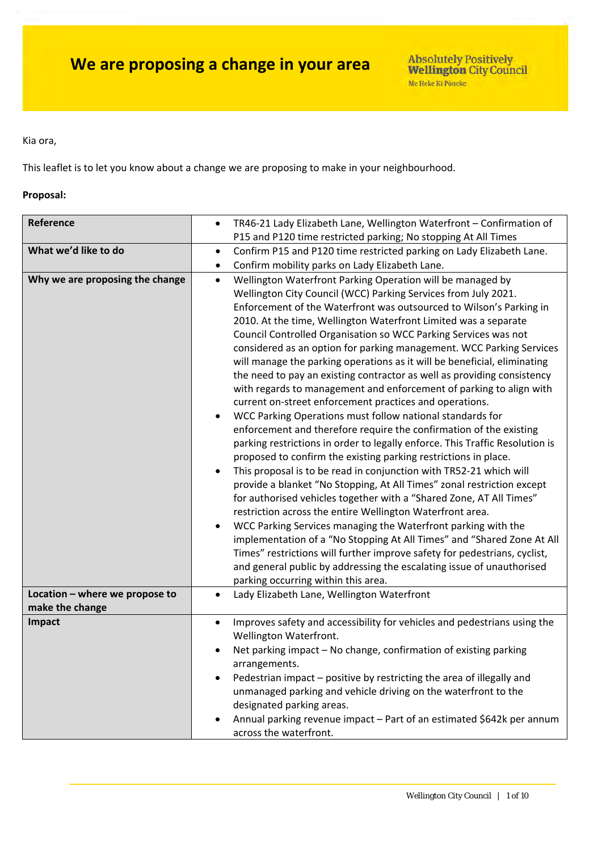#### Kia ora,

This leaflet is to let you know about a change we are proposing to make in your neighbourhood.

#### **Proposal:**

| Reference                                         | TR46-21 Lady Elizabeth Lane, Wellington Waterfront - Confirmation of<br>$\bullet$                                                                                                                                                                                                                                                                                                                                                                                                                                                                                                                                                                                                                                                                                                                                                                                                                                                                                                                                                                                                                                                                                                                                                                                                                                                                                                                                                                                                                                                                                                                                                                                   |  |  |
|---------------------------------------------------|---------------------------------------------------------------------------------------------------------------------------------------------------------------------------------------------------------------------------------------------------------------------------------------------------------------------------------------------------------------------------------------------------------------------------------------------------------------------------------------------------------------------------------------------------------------------------------------------------------------------------------------------------------------------------------------------------------------------------------------------------------------------------------------------------------------------------------------------------------------------------------------------------------------------------------------------------------------------------------------------------------------------------------------------------------------------------------------------------------------------------------------------------------------------------------------------------------------------------------------------------------------------------------------------------------------------------------------------------------------------------------------------------------------------------------------------------------------------------------------------------------------------------------------------------------------------------------------------------------------------------------------------------------------------|--|--|
|                                                   | P15 and P120 time restricted parking; No stopping At All Times                                                                                                                                                                                                                                                                                                                                                                                                                                                                                                                                                                                                                                                                                                                                                                                                                                                                                                                                                                                                                                                                                                                                                                                                                                                                                                                                                                                                                                                                                                                                                                                                      |  |  |
| What we'd like to do                              | Confirm P15 and P120 time restricted parking on Lady Elizabeth Lane.<br>$\bullet$                                                                                                                                                                                                                                                                                                                                                                                                                                                                                                                                                                                                                                                                                                                                                                                                                                                                                                                                                                                                                                                                                                                                                                                                                                                                                                                                                                                                                                                                                                                                                                                   |  |  |
|                                                   | Confirm mobility parks on Lady Elizabeth Lane.<br>$\bullet$                                                                                                                                                                                                                                                                                                                                                                                                                                                                                                                                                                                                                                                                                                                                                                                                                                                                                                                                                                                                                                                                                                                                                                                                                                                                                                                                                                                                                                                                                                                                                                                                         |  |  |
| Why we are proposing the change                   | Wellington Waterfront Parking Operation will be managed by<br>$\bullet$<br>Wellington City Council (WCC) Parking Services from July 2021.<br>Enforcement of the Waterfront was outsourced to Wilson's Parking in<br>2010. At the time, Wellington Waterfront Limited was a separate<br>Council Controlled Organisation so WCC Parking Services was not<br>considered as an option for parking management. WCC Parking Services<br>will manage the parking operations as it will be beneficial, eliminating<br>the need to pay an existing contractor as well as providing consistency<br>with regards to management and enforcement of parking to align with<br>current on-street enforcement practices and operations.<br>WCC Parking Operations must follow national standards for<br>$\bullet$<br>enforcement and therefore require the confirmation of the existing<br>parking restrictions in order to legally enforce. This Traffic Resolution is<br>proposed to confirm the existing parking restrictions in place.<br>This proposal is to be read in conjunction with TR52-21 which will<br>$\bullet$<br>provide a blanket "No Stopping, At All Times" zonal restriction except<br>for authorised vehicles together with a "Shared Zone, AT All Times"<br>restriction across the entire Wellington Waterfront area.<br>WCC Parking Services managing the Waterfront parking with the<br>implementation of a "No Stopping At All Times" and "Shared Zone At All<br>Times" restrictions will further improve safety for pedestrians, cyclist,<br>and general public by addressing the escalating issue of unauthorised<br>parking occurring within this area. |  |  |
|                                                   |                                                                                                                                                                                                                                                                                                                                                                                                                                                                                                                                                                                                                                                                                                                                                                                                                                                                                                                                                                                                                                                                                                                                                                                                                                                                                                                                                                                                                                                                                                                                                                                                                                                                     |  |  |
| Location - where we propose to<br>make the change | Lady Elizabeth Lane, Wellington Waterfront<br>$\bullet$                                                                                                                                                                                                                                                                                                                                                                                                                                                                                                                                                                                                                                                                                                                                                                                                                                                                                                                                                                                                                                                                                                                                                                                                                                                                                                                                                                                                                                                                                                                                                                                                             |  |  |
| Impact                                            | Improves safety and accessibility for vehicles and pedestrians using the<br>$\bullet$                                                                                                                                                                                                                                                                                                                                                                                                                                                                                                                                                                                                                                                                                                                                                                                                                                                                                                                                                                                                                                                                                                                                                                                                                                                                                                                                                                                                                                                                                                                                                                               |  |  |
|                                                   | Wellington Waterfront.                                                                                                                                                                                                                                                                                                                                                                                                                                                                                                                                                                                                                                                                                                                                                                                                                                                                                                                                                                                                                                                                                                                                                                                                                                                                                                                                                                                                                                                                                                                                                                                                                                              |  |  |
|                                                   | Net parking impact - No change, confirmation of existing parking                                                                                                                                                                                                                                                                                                                                                                                                                                                                                                                                                                                                                                                                                                                                                                                                                                                                                                                                                                                                                                                                                                                                                                                                                                                                                                                                                                                                                                                                                                                                                                                                    |  |  |
|                                                   | arrangements.                                                                                                                                                                                                                                                                                                                                                                                                                                                                                                                                                                                                                                                                                                                                                                                                                                                                                                                                                                                                                                                                                                                                                                                                                                                                                                                                                                                                                                                                                                                                                                                                                                                       |  |  |
|                                                   | Pedestrian impact - positive by restricting the area of illegally and                                                                                                                                                                                                                                                                                                                                                                                                                                                                                                                                                                                                                                                                                                                                                                                                                                                                                                                                                                                                                                                                                                                                                                                                                                                                                                                                                                                                                                                                                                                                                                                               |  |  |
|                                                   | unmanaged parking and vehicle driving on the waterfront to the<br>designated parking areas.                                                                                                                                                                                                                                                                                                                                                                                                                                                                                                                                                                                                                                                                                                                                                                                                                                                                                                                                                                                                                                                                                                                                                                                                                                                                                                                                                                                                                                                                                                                                                                         |  |  |
|                                                   | Annual parking revenue impact - Part of an estimated \$642k per annum                                                                                                                                                                                                                                                                                                                                                                                                                                                                                                                                                                                                                                                                                                                                                                                                                                                                                                                                                                                                                                                                                                                                                                                                                                                                                                                                                                                                                                                                                                                                                                                               |  |  |
|                                                   | across the waterfront.                                                                                                                                                                                                                                                                                                                                                                                                                                                                                                                                                                                                                                                                                                                                                                                                                                                                                                                                                                                                                                                                                                                                                                                                                                                                                                                                                                                                                                                                                                                                                                                                                                              |  |  |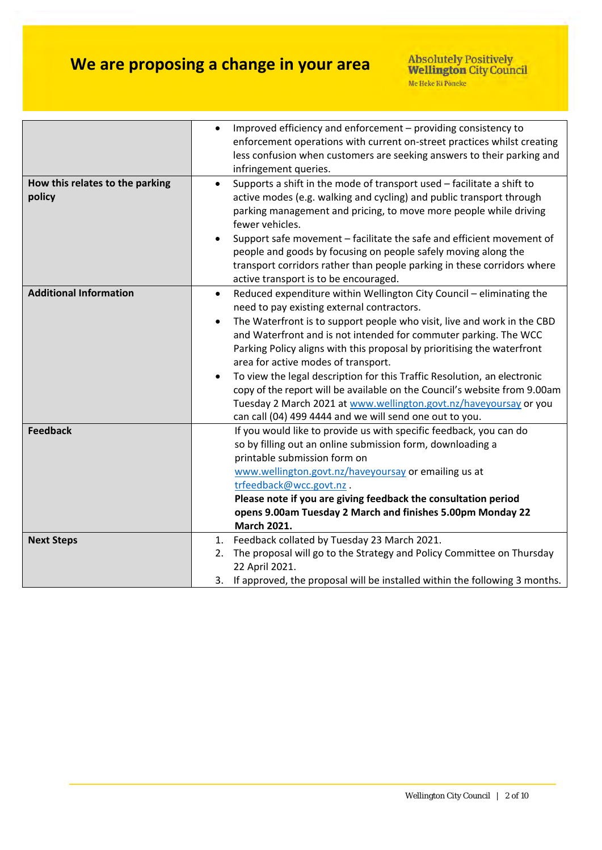|                                 | Improved efficiency and enforcement - providing consistency to                      |  |
|---------------------------------|-------------------------------------------------------------------------------------|--|
|                                 | enforcement operations with current on-street practices whilst creating             |  |
|                                 | less confusion when customers are seeking answers to their parking and              |  |
|                                 | infringement queries.                                                               |  |
| How this relates to the parking | Supports a shift in the mode of transport used - facilitate a shift to<br>$\bullet$ |  |
| policy                          | active modes (e.g. walking and cycling) and public transport through                |  |
|                                 | parking management and pricing, to move more people while driving                   |  |
|                                 | fewer vehicles.                                                                     |  |
|                                 | Support safe movement - facilitate the safe and efficient movement of               |  |
|                                 | people and goods by focusing on people safely moving along the                      |  |
|                                 | transport corridors rather than people parking in these corridors where             |  |
|                                 | active transport is to be encouraged.                                               |  |
| <b>Additional Information</b>   | Reduced expenditure within Wellington City Council - eliminating the<br>$\bullet$   |  |
|                                 | need to pay existing external contractors.                                          |  |
|                                 | The Waterfront is to support people who visit, live and work in the CBD             |  |
|                                 | and Waterfront and is not intended for commuter parking. The WCC                    |  |
|                                 | Parking Policy aligns with this proposal by prioritising the waterfront             |  |
|                                 | area for active modes of transport.                                                 |  |
|                                 | To view the legal description for this Traffic Resolution, an electronic            |  |
|                                 | copy of the report will be available on the Council's website from 9.00am           |  |
|                                 | Tuesday 2 March 2021 at www.wellington.govt.nz/haveyoursay or you                   |  |
|                                 | can call (04) 499 4444 and we will send one out to you.                             |  |
| <b>Feedback</b>                 | If you would like to provide us with specific feedback, you can do                  |  |
|                                 | so by filling out an online submission form, downloading a                          |  |
|                                 | printable submission form on                                                        |  |
|                                 | www.wellington.govt.nz/haveyoursay or emailing us at                                |  |
|                                 | trfeedback@wcc.govt.nz.                                                             |  |
|                                 | Please note if you are giving feedback the consultation period                      |  |
|                                 | opens 9.00am Tuesday 2 March and finishes 5.00pm Monday 22                          |  |
|                                 | <b>March 2021.</b>                                                                  |  |
| <b>Next Steps</b>               | Feedback collated by Tuesday 23 March 2021.<br>1.                                   |  |
|                                 | The proposal will go to the Strategy and Policy Committee on Thursday<br>2.         |  |
|                                 | 22 April 2021.                                                                      |  |
|                                 | 3. If approved, the proposal will be installed within the following 3 months.       |  |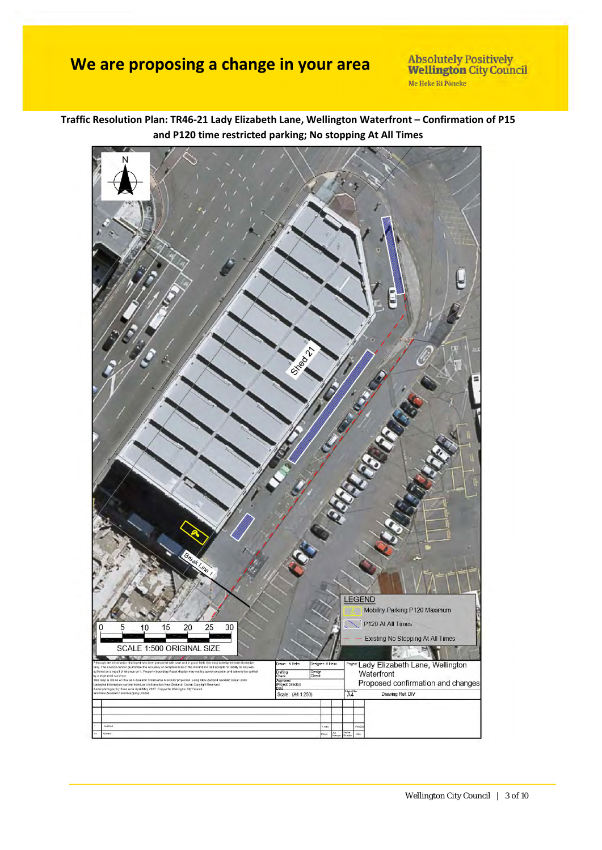Absolutely Positively<br>Wellington City Council Me Heke Ki Pôneke

**Traffic Resolution Plan: TR46‐21 Lady Elizabeth Lane, Wellington Waterfront – Confirmation of P15 and P120 time restricted parking; No stopping At All Times**

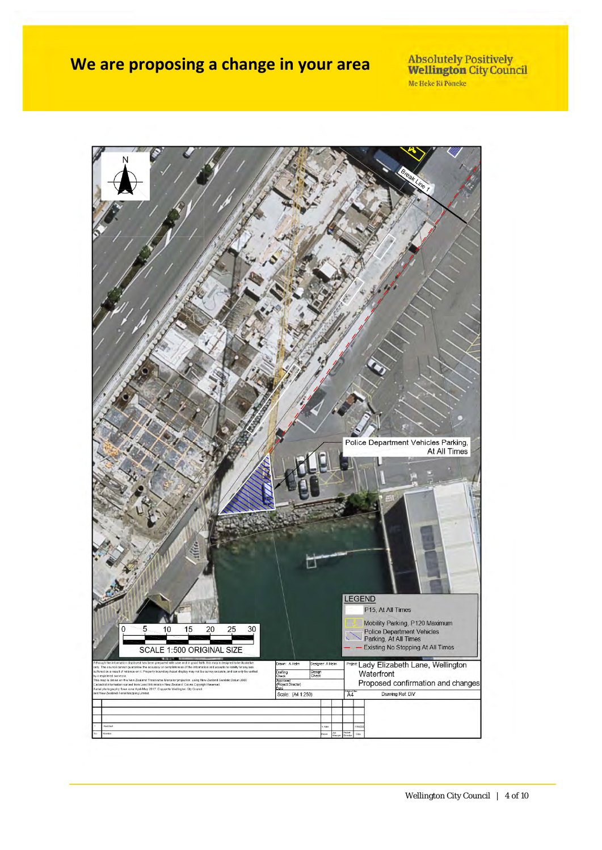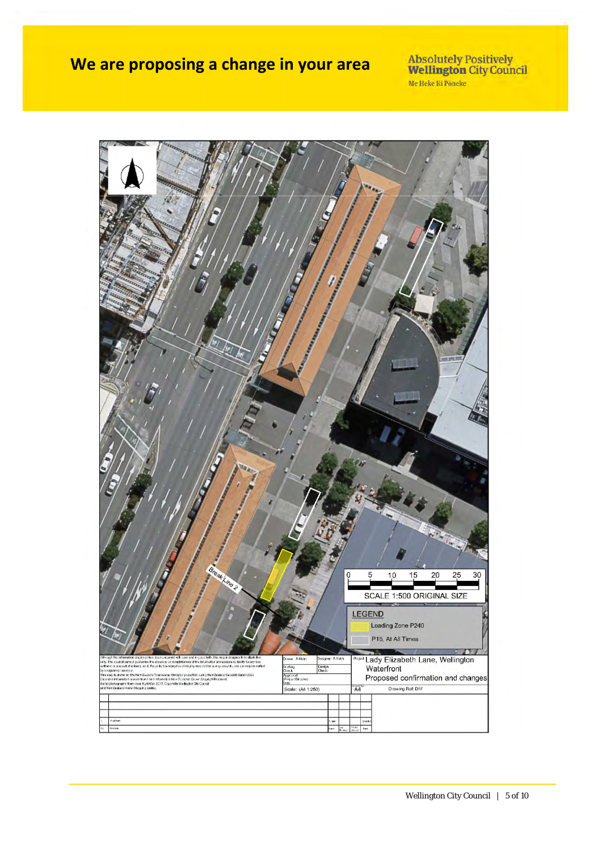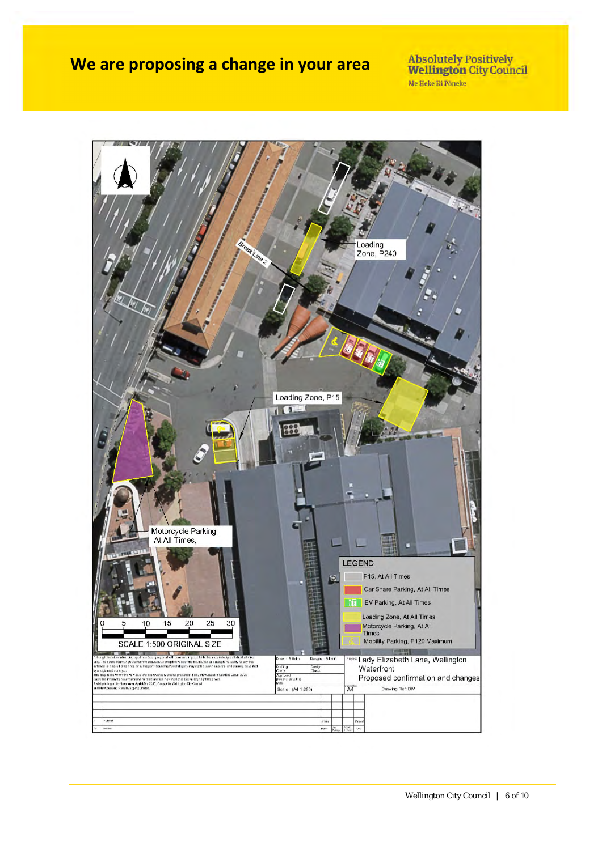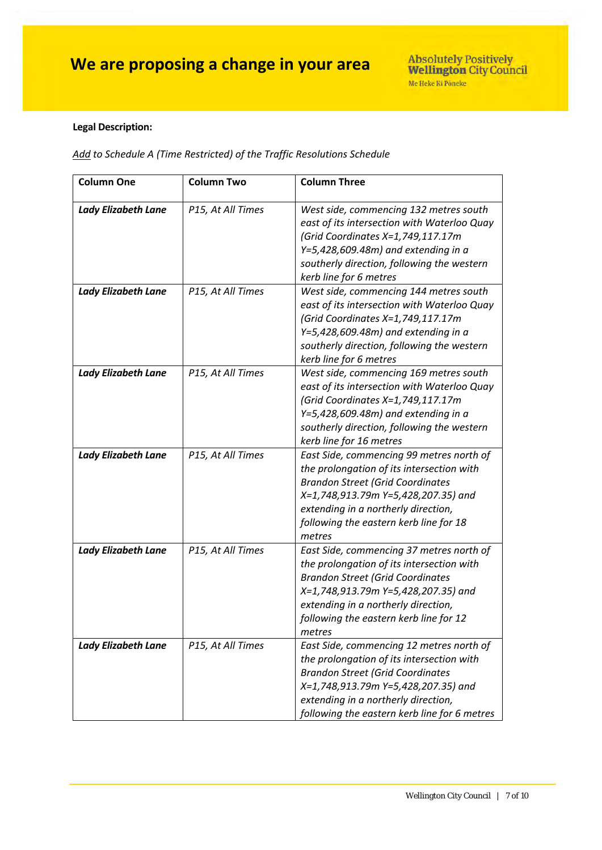#### **Legal Description:**

*Add to Schedule A (Time Restricted) of the Traffic Resolutions Schedule*

| <b>Column One</b>          | <b>Column Two</b> | <b>Column Three</b>                                                                                                                                                                                                                                                |
|----------------------------|-------------------|--------------------------------------------------------------------------------------------------------------------------------------------------------------------------------------------------------------------------------------------------------------------|
| <b>Lady Elizabeth Lane</b> | P15, At All Times | West side, commencing 132 metres south<br>east of its intersection with Waterloo Quay<br>(Grid Coordinates X=1,749,117.17m<br>$Y=5,428,609.48m$ ) and extending in a<br>southerly direction, following the western<br>kerb line for 6 metres                       |
| <b>Lady Elizabeth Lane</b> | P15, At All Times | West side, commencing 144 metres south<br>east of its intersection with Waterloo Quay<br>(Grid Coordinates X=1,749,117.17m<br>$Y=5,428,609.48m$ ) and extending in a<br>southerly direction, following the western<br>kerb line for 6 metres                       |
| <b>Lady Elizabeth Lane</b> | P15, At All Times | West side, commencing 169 metres south<br>east of its intersection with Waterloo Quay<br>(Grid Coordinates X=1,749,117.17m<br>$Y=5,428,609.48m$ ) and extending in a<br>southerly direction, following the western<br>kerb line for 16 metres                      |
| <b>Lady Elizabeth Lane</b> | P15, At All Times | East Side, commencing 99 metres north of<br>the prolongation of its intersection with<br><b>Brandon Street (Grid Coordinates</b><br>X=1,748,913.79m Y=5,428,207.35) and<br>extending in a northerly direction,<br>following the eastern kerb line for 18<br>metres |
| <b>Lady Elizabeth Lane</b> | P15, At All Times | East Side, commencing 37 metres north of<br>the prolongation of its intersection with<br><b>Brandon Street (Grid Coordinates</b><br>X=1,748,913.79m Y=5,428,207.35) and<br>extending in a northerly direction,<br>following the eastern kerb line for 12<br>metres |
| <b>Lady Elizabeth Lane</b> | P15, At All Times | East Side, commencing 12 metres north of<br>the prolongation of its intersection with<br><b>Brandon Street (Grid Coordinates</b><br>X=1,748,913.79m Y=5,428,207.35) and<br>extending in a northerly direction,<br>following the eastern kerb line for 6 metres     |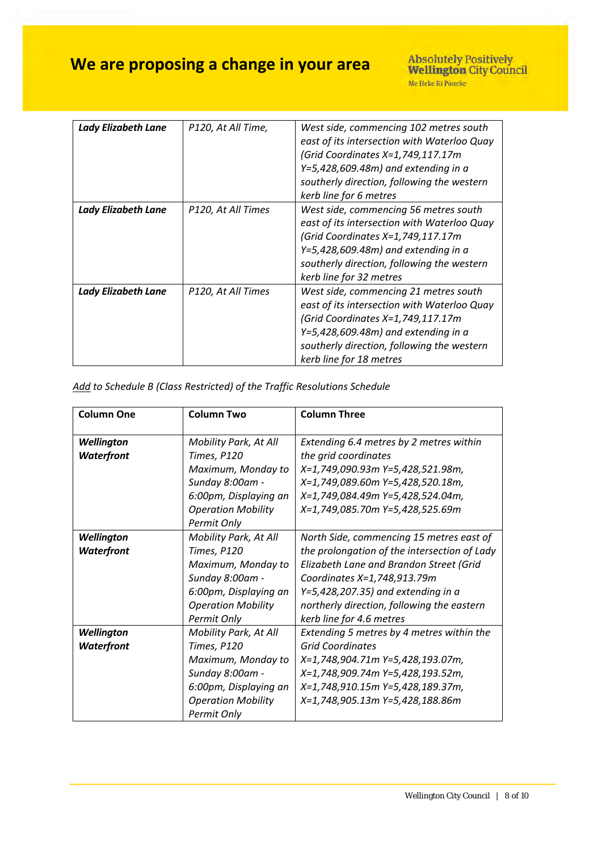| <b>Lady Elizabeth Lane</b> | P120, At All Time, | West side, commencing 102 metres south<br>east of its intersection with Waterloo Quay<br>(Grid Coordinates X=1,749,117.17m<br>$Y=5,428,609.48m$ ) and extending in a<br>southerly direction, following the western<br>kerb line for 6 metres  |
|----------------------------|--------------------|-----------------------------------------------------------------------------------------------------------------------------------------------------------------------------------------------------------------------------------------------|
| <b>Lady Elizabeth Lane</b> | P120, At All Times | West side, commencing 56 metres south<br>east of its intersection with Waterloo Quay<br>(Grid Coordinates X=1,749,117.17m<br>$Y=5,428,609.48m$ ) and extending in a<br>southerly direction, following the western<br>kerb line for 32 metres  |
| <b>Lady Elizabeth Lane</b> | P120, At All Times | West side, commencing 21 metres south<br>east of its intersection with Waterloo Quay<br>(Grid Coordinates X=1,749,117.17m)<br>$Y=5,428,609.48m$ ) and extending in a<br>southerly direction, following the western<br>kerb line for 18 metres |

| Add to Schedule B (Class Restricted) of the Traffic Resolutions Schedule |  |  |  |
|--------------------------------------------------------------------------|--|--|--|
|--------------------------------------------------------------------------|--|--|--|

| <b>Column One</b> | <b>Column Two</b>         | <b>Column Three</b>                          |
|-------------------|---------------------------|----------------------------------------------|
| Wellington        | Mobility Park, At All     | Extending 6.4 metres by 2 metres within      |
| Waterfront        | Times, P120               | the grid coordinates                         |
|                   | Maximum, Monday to        | X=1,749,090.93m Y=5,428,521.98m,             |
|                   | Sunday 8:00am -           | X=1,749,089.60m Y=5,428,520.18m,             |
|                   | 6:00pm, Displaying an     | X=1,749,084.49m Y=5,428,524.04m,             |
|                   | <b>Operation Mobility</b> | X=1,749,085.70m Y=5,428,525.69m              |
|                   | Permit Only               |                                              |
| Wellington        | Mobility Park, At All     | North Side, commencing 15 metres east of     |
| Waterfront        | Times, P120               | the prolongation of the intersection of Lady |
|                   | Maximum, Monday to        | Elizabeth Lane and Brandon Street (Grid      |
|                   | Sunday 8:00am -           | Coordinates X=1,748,913.79m                  |
|                   | 6:00pm, Displaying an     | $Y=5,428,207.35$ ) and extending in a        |
|                   | <b>Operation Mobility</b> | northerly direction, following the eastern   |
|                   | Permit Only               | kerb line for 4.6 metres                     |
| Wellington        | Mobility Park, At All     | Extending 5 metres by 4 metres within the    |
| Waterfront        | Times, P120               | <b>Grid Coordinates</b>                      |
|                   | Maximum, Monday to        | X=1,748,904.71m Y=5,428,193.07m,             |
|                   | Sunday 8:00am -           | X=1,748,909.74m Y=5,428,193.52m,             |
|                   | 6:00pm, Displaying an     | X=1,748,910.15m Y=5,428,189.37m,             |
|                   | <b>Operation Mobility</b> | X=1,748,905.13m Y=5,428,188.86m              |
|                   | Permit Only               |                                              |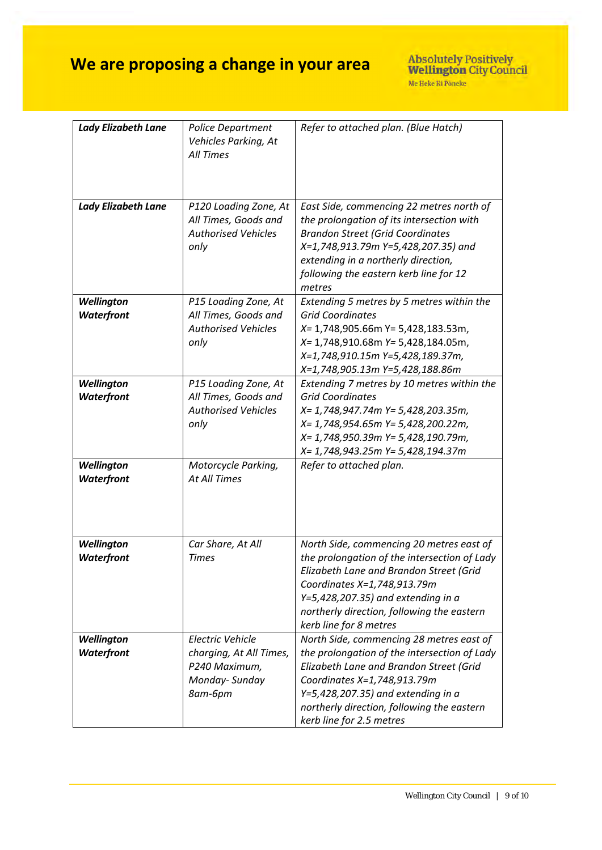| <b>Lady Elizabeth Lane</b>      | Police Department<br>Vehicles Parking, At<br>All Times                                   | Refer to attached plan. (Blue Hatch)                                                                                                                                                                                                                                                  |
|---------------------------------|------------------------------------------------------------------------------------------|---------------------------------------------------------------------------------------------------------------------------------------------------------------------------------------------------------------------------------------------------------------------------------------|
| <b>Lady Elizabeth Lane</b>      | P120 Loading Zone, At<br>All Times, Goods and<br><b>Authorised Vehicles</b><br>only      | East Side, commencing 22 metres north of<br>the prolongation of its intersection with<br><b>Brandon Street (Grid Coordinates</b><br>X=1,748,913.79m Y=5,428,207.35) and<br>extending in a northerly direction,<br>following the eastern kerb line for 12<br>metres                    |
| Wellington<br>Waterfront        | P15 Loading Zone, At<br>All Times, Goods and<br><b>Authorised Vehicles</b><br>only       | Extending 5 metres by 5 metres within the<br><b>Grid Coordinates</b><br>$X=$ 1,748,905.66m Y= 5,428,183.53m,<br>X= 1,748,910.68m Y= 5,428,184.05m,<br>X=1,748,910.15m Y=5,428,189.37m,<br>X=1,748,905.13m Y=5,428,188.86m                                                             |
| Wellington<br>Waterfront        | P15 Loading Zone, At<br>All Times, Goods and<br><b>Authorised Vehicles</b><br>only       | Extending 7 metres by 10 metres within the<br><b>Grid Coordinates</b><br>X= 1,748,947.74m Y= 5,428,203.35m,<br>X= 1,748,954.65m Y= 5,428,200.22m,<br>X= 1,748,950.39m Y= 5,428,190.79m,<br>X= 1,748,943.25m Y= 5,428,194.37m                                                          |
| Wellington<br>Waterfront        | Motorcycle Parking,<br>At All Times                                                      | Refer to attached plan.                                                                                                                                                                                                                                                               |
| Wellington<br>Waterfront        | Car Share, At All<br><b>Times</b>                                                        | North Side, commencing 20 metres east of<br>the prolongation of the intersection of Lady<br>Elizabeth Lane and Brandon Street (Grid<br>Coordinates X=1,748,913.79m<br>$Y=5,428,207.35$ ) and extending in a<br>northerly direction, following the eastern<br>kerb line for 8 metres   |
| Wellington<br><b>Waterfront</b> | Electric Vehicle<br>charging, At All Times,<br>P240 Maximum,<br>Monday-Sunday<br>8am-6pm | North Side, commencing 28 metres east of<br>the prolongation of the intersection of Lady<br>Elizabeth Lane and Brandon Street (Grid<br>Coordinates X=1,748,913.79m<br>$Y=5,428,207.35$ ) and extending in a<br>northerly direction, following the eastern<br>kerb line for 2.5 metres |